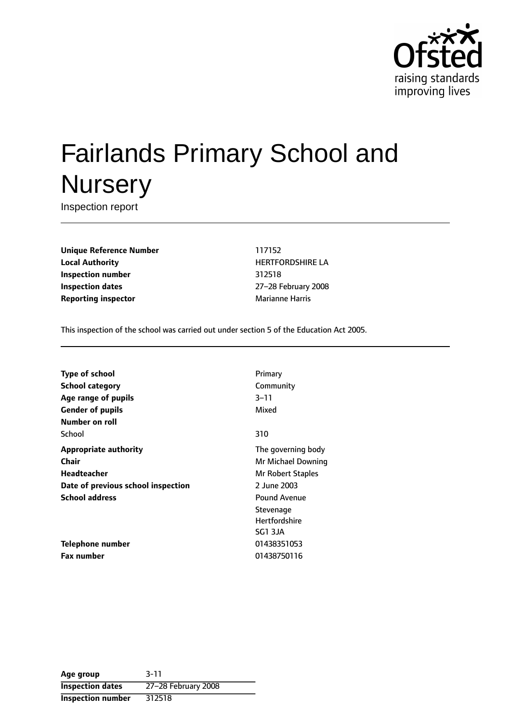

# Fairlands Primary School and **Nursery**

Inspection report

**Unique Reference Number** 117152 **Local Authority HERTFORDSHIRE LA Inspection number** 312518 **Inspection dates** 27-28 February 2008 **Reporting inspector** Marianne Harris

This inspection of the school was carried out under section 5 of the Education Act 2005.

| <b>Type of school</b>              | Primary              |
|------------------------------------|----------------------|
| <b>School category</b>             | Community            |
| Age range of pupils                | 3-11                 |
| <b>Gender of pupils</b>            | Mixed                |
| Number on roll                     |                      |
| School                             | 310                  |
| <b>Appropriate authority</b>       | The governing body   |
| Chair                              | Mr Michael Downing   |
| Headteacher                        | Mr Robert Staples    |
| Date of previous school inspection | 2 June 2003          |
| <b>School address</b>              | <b>Pound Avenue</b>  |
|                                    | Stevenage            |
|                                    | <b>Hertfordshire</b> |
|                                    | SG1 3JA              |
| Telephone number                   | 01438351053          |
| <b>Fax number</b>                  | 01438750116          |

| Age group                | $3 - 11$            |
|--------------------------|---------------------|
| <b>Inspection dates</b>  | 27-28 February 2008 |
| <b>Inspection number</b> | 312518              |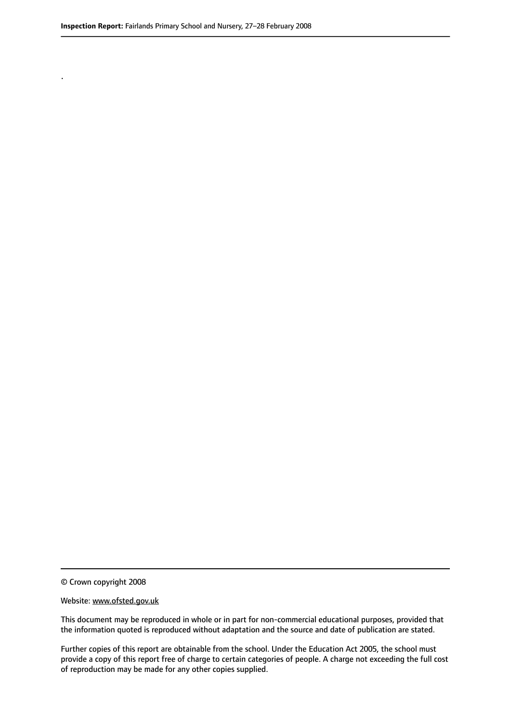.

© Crown copyright 2008

#### Website: www.ofsted.gov.uk

This document may be reproduced in whole or in part for non-commercial educational purposes, provided that the information quoted is reproduced without adaptation and the source and date of publication are stated.

Further copies of this report are obtainable from the school. Under the Education Act 2005, the school must provide a copy of this report free of charge to certain categories of people. A charge not exceeding the full cost of reproduction may be made for any other copies supplied.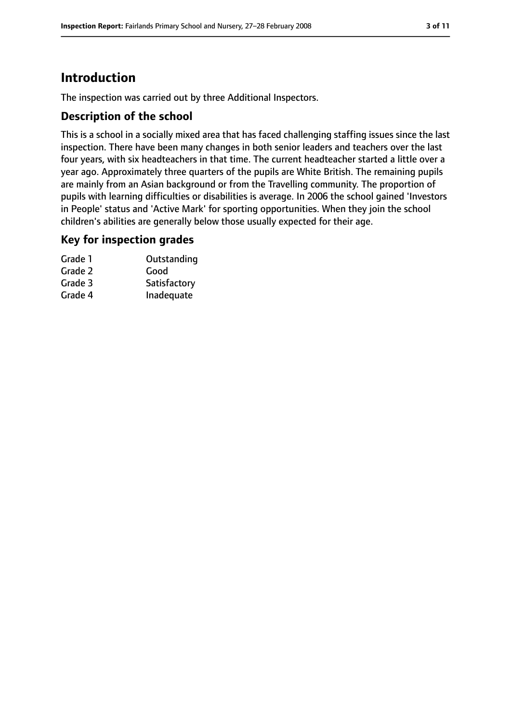# **Introduction**

The inspection was carried out by three Additional Inspectors.

## **Description of the school**

This is a school in a socially mixed area that has faced challenging staffing issues since the last inspection. There have been many changes in both senior leaders and teachers over the last four years, with six headteachers in that time. The current headteacher started a little over a year ago. Approximately three quarters of the pupils are White British. The remaining pupils are mainly from an Asian background or from the Travelling community. The proportion of pupils with learning difficulties or disabilities is average. In 2006 the school gained 'Investors in People' status and 'Active Mark' for sporting opportunities. When they join the school children's abilities are generally below those usually expected for their age.

## **Key for inspection grades**

| Grade 1 | Outstanding  |
|---------|--------------|
| Grade 2 | Good         |
| Grade 3 | Satisfactory |
| Grade 4 | Inadequate   |
|         |              |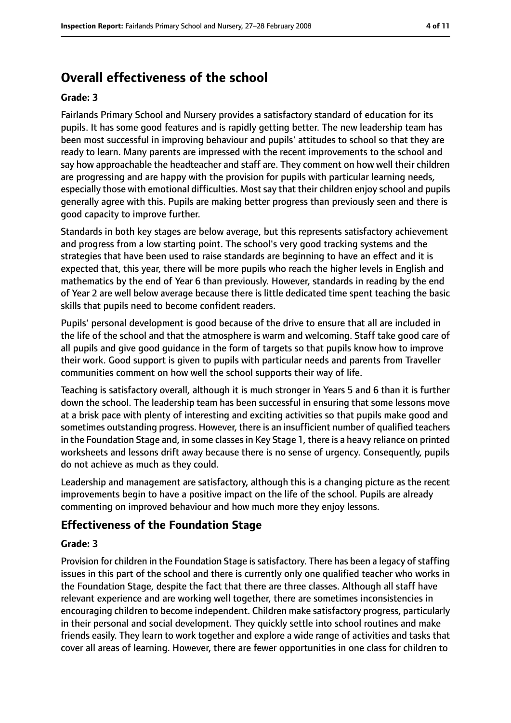# **Overall effectiveness of the school**

#### **Grade: 3**

Fairlands Primary School and Nursery provides a satisfactory standard of education for its pupils. It has some good features and is rapidly getting better. The new leadership team has been most successful in improving behaviour and pupils' attitudes to school so that they are ready to learn. Many parents are impressed with the recent improvements to the school and say how approachable the headteacher and staff are. They comment on how well their children are progressing and are happy with the provision for pupils with particular learning needs, especially those with emotional difficulties. Most say that their children enjoy school and pupils generally agree with this. Pupils are making better progress than previously seen and there is good capacity to improve further.

Standards in both key stages are below average, but this represents satisfactory achievement and progress from a low starting point. The school's very good tracking systems and the strategies that have been used to raise standards are beginning to have an effect and it is expected that, this year, there will be more pupils who reach the higher levels in English and mathematics by the end of Year 6 than previously. However, standards in reading by the end of Year 2 are well below average because there is little dedicated time spent teaching the basic skills that pupils need to become confident readers.

Pupils' personal development is good because of the drive to ensure that all are included in the life of the school and that the atmosphere is warm and welcoming. Staff take good care of all pupils and give good guidance in the form of targets so that pupils know how to improve their work. Good support is given to pupils with particular needs and parents from Traveller communities comment on how well the school supports their way of life.

Teaching is satisfactory overall, although it is much stronger in Years 5 and 6 than it is further down the school. The leadership team has been successful in ensuring that some lessons move at a brisk pace with plenty of interesting and exciting activities so that pupils make good and sometimes outstanding progress. However, there is an insufficient number of qualified teachers in the Foundation Stage and, in some classes in Key Stage 1, there is a heavy reliance on printed worksheets and lessons drift away because there is no sense of urgency. Consequently, pupils do not achieve as much as they could.

Leadership and management are satisfactory, although this is a changing picture as the recent improvements begin to have a positive impact on the life of the school. Pupils are already commenting on improved behaviour and how much more they enjoy lessons.

# **Effectiveness of the Foundation Stage**

#### **Grade: 3**

Provision for children in the Foundation Stage is satisfactory. There has been a legacy of staffing issues in this part of the school and there is currently only one qualified teacher who works in the Foundation Stage, despite the fact that there are three classes. Although all staff have relevant experience and are working well together, there are sometimes inconsistencies in encouraging children to become independent. Children make satisfactory progress, particularly in their personal and social development. They quickly settle into school routines and make friends easily. They learn to work together and explore a wide range of activities and tasks that cover all areas of learning. However, there are fewer opportunities in one class for children to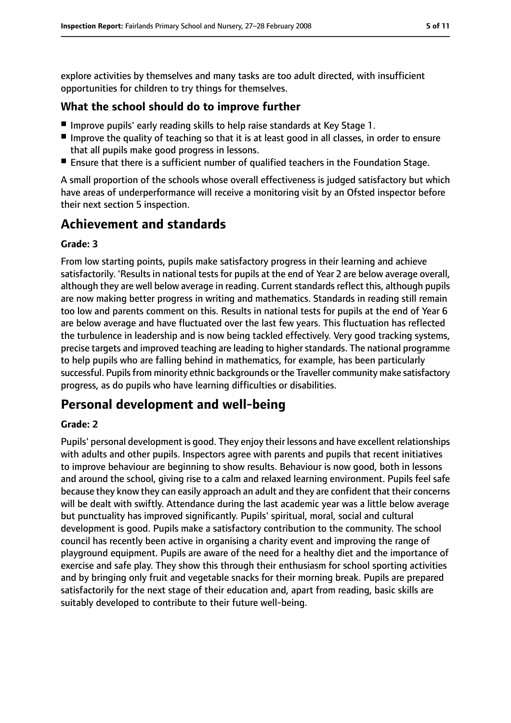explore activities by themselves and many tasks are too adult directed, with insufficient opportunities for children to try things for themselves.

## **What the school should do to improve further**

- Improve pupils' early reading skills to help raise standards at Key Stage 1.
- Improve the quality of teaching so that it is at least good in all classes, in order to ensure that all pupils make good progress in lessons.
- Ensure that there is a sufficient number of qualified teachers in the Foundation Stage.

A small proportion of the schools whose overall effectiveness is judged satisfactory but which have areas of underperformance will receive a monitoring visit by an Ofsted inspector before their next section 5 inspection.

# **Achievement and standards**

#### **Grade: 3**

From low starting points, pupils make satisfactory progress in their learning and achieve satisfactorily. 'Results in national tests for pupils at the end of Year 2 are below average overall, although they are well below average in reading. Current standards reflect this, although pupils are now making better progress in writing and mathematics. Standards in reading still remain too low and parents comment on this. Results in national tests for pupils at the end of Year 6 are below average and have fluctuated over the last few years. This fluctuation has reflected the turbulence in leadership and is now being tackled effectively. Very good tracking systems, precise targets and improved teaching are leading to higher standards. The national programme to help pupils who are falling behind in mathematics, for example, has been particularly successful. Pupils from minority ethnic backgrounds or the Traveller community make satisfactory progress, as do pupils who have learning difficulties or disabilities.

# **Personal development and well-being**

#### **Grade: 2**

Pupils' personal development is good. They enjoy their lessons and have excellent relationships with adults and other pupils. Inspectors agree with parents and pupils that recent initiatives to improve behaviour are beginning to show results. Behaviour is now good, both in lessons and around the school, giving rise to a calm and relaxed learning environment. Pupils feel safe because they know they can easily approach an adult and they are confident that their concerns will be dealt with swiftly. Attendance during the last academic year was a little below average but punctuality has improved significantly. Pupils' spiritual, moral, social and cultural development is good. Pupils make a satisfactory contribution to the community. The school council has recently been active in organising a charity event and improving the range of playground equipment. Pupils are aware of the need for a healthy diet and the importance of exercise and safe play. They show this through their enthusiasm for school sporting activities and by bringing only fruit and vegetable snacks for their morning break. Pupils are prepared satisfactorily for the next stage of their education and, apart from reading, basic skills are suitably developed to contribute to their future well-being.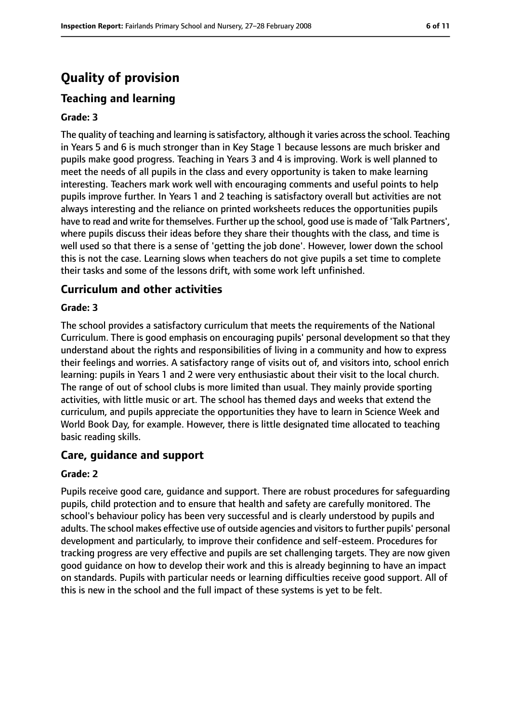# **Quality of provision**

# **Teaching and learning**

#### **Grade: 3**

The quality of teaching and learning is satisfactory, although it varies across the school. Teaching in Years 5 and 6 is much stronger than in Key Stage 1 because lessons are much brisker and pupils make good progress. Teaching in Years 3 and 4 is improving. Work is well planned to meet the needs of all pupils in the class and every opportunity is taken to make learning interesting. Teachers mark work well with encouraging comments and useful points to help pupils improve further. In Years 1 and 2 teaching is satisfactory overall but activities are not always interesting and the reliance on printed worksheets reduces the opportunities pupils have to read and write for themselves. Further up the school, good use is made of 'Talk Partners', where pupils discuss their ideas before they share their thoughts with the class, and time is well used so that there is a sense of 'getting the job done'. However, lower down the school this is not the case. Learning slows when teachers do not give pupils a set time to complete their tasks and some of the lessons drift, with some work left unfinished.

## **Curriculum and other activities**

#### **Grade: 3**

The school provides a satisfactory curriculum that meets the requirements of the National Curriculum. There is good emphasis on encouraging pupils' personal development so that they understand about the rights and responsibilities of living in a community and how to express their feelings and worries. A satisfactory range of visits out of, and visitors into, school enrich learning: pupils in Years 1 and 2 were very enthusiastic about their visit to the local church. The range of out of school clubs is more limited than usual. They mainly provide sporting activities, with little music or art. The school has themed days and weeks that extend the curriculum, and pupils appreciate the opportunities they have to learn in Science Week and World Book Day, for example. However, there is little designated time allocated to teaching basic reading skills.

## **Care, guidance and support**

#### **Grade: 2**

Pupils receive good care, guidance and support. There are robust procedures for safeguarding pupils, child protection and to ensure that health and safety are carefully monitored. The school's behaviour policy has been very successful and is clearly understood by pupils and adults. The school makes effective use of outside agencies and visitors to further pupils' personal development and particularly, to improve their confidence and self-esteem. Procedures for tracking progress are very effective and pupils are set challenging targets. They are now given good guidance on how to develop their work and this is already beginning to have an impact on standards. Pupils with particular needs or learning difficulties receive good support. All of this is new in the school and the full impact of these systems is yet to be felt.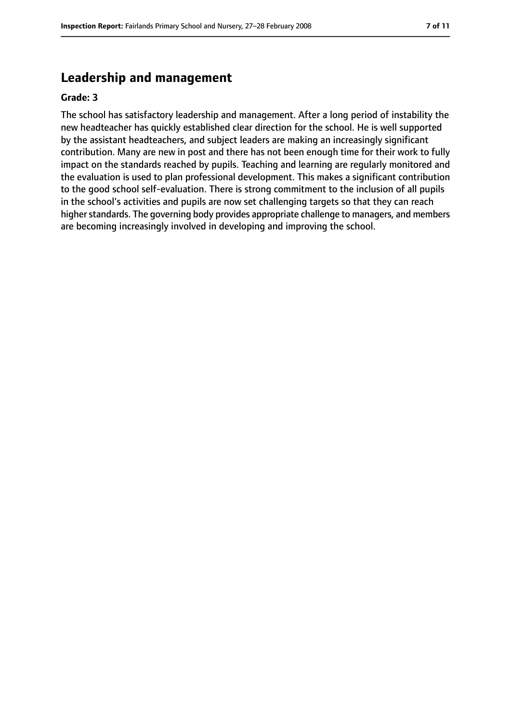# **Leadership and management**

#### **Grade: 3**

The school has satisfactory leadership and management. After a long period of instability the new headteacher has quickly established clear direction for the school. He is well supported by the assistant headteachers, and subject leaders are making an increasingly significant contribution. Many are new in post and there has not been enough time for their work to fully impact on the standards reached by pupils. Teaching and learning are regularly monitored and the evaluation is used to plan professional development. This makes a significant contribution to the good school self-evaluation. There is strong commitment to the inclusion of all pupils in the school's activities and pupils are now set challenging targets so that they can reach higher standards. The governing body provides appropriate challenge to managers, and members are becoming increasingly involved in developing and improving the school.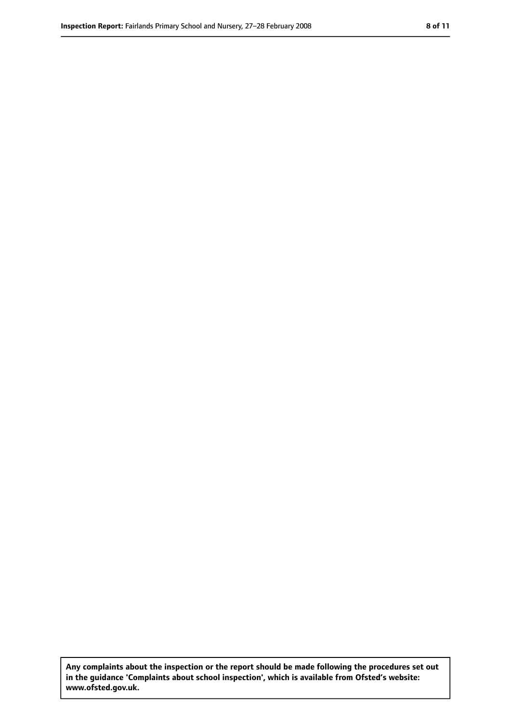**Any complaints about the inspection or the report should be made following the procedures set out in the guidance 'Complaints about school inspection', which is available from Ofsted's website: www.ofsted.gov.uk.**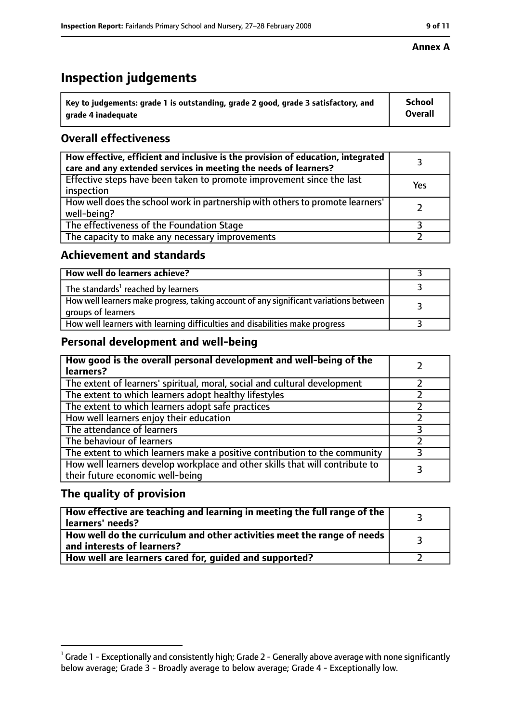# **Inspection judgements**

| $^{\backprime}$ Key to judgements: grade 1 is outstanding, grade 2 good, grade 3 satisfactory, and | <b>School</b>  |
|----------------------------------------------------------------------------------------------------|----------------|
| arade 4 inadeguate                                                                                 | <b>Overall</b> |

# **Overall effectiveness**

| How effective, efficient and inclusive is the provision of education, integrated<br>care and any extended services in meeting the needs of learners? |     |
|------------------------------------------------------------------------------------------------------------------------------------------------------|-----|
| Effective steps have been taken to promote improvement since the last<br>inspection                                                                  | Yes |
| How well does the school work in partnership with others to promote learners'<br>well-being?                                                         |     |
| The effectiveness of the Foundation Stage                                                                                                            |     |
| The capacity to make any necessary improvements                                                                                                      |     |

## **Achievement and standards**

| How well do learners achieve?                                                                               |  |
|-------------------------------------------------------------------------------------------------------------|--|
| The standards <sup>1</sup> reached by learners                                                              |  |
| How well learners make progress, taking account of any significant variations between<br>groups of learners |  |
| How well learners with learning difficulties and disabilities make progress                                 |  |

# **Personal development and well-being**

| How good is the overall personal development and well-being of the<br>learners?                                  |  |
|------------------------------------------------------------------------------------------------------------------|--|
| The extent of learners' spiritual, moral, social and cultural development                                        |  |
| The extent to which learners adopt healthy lifestyles                                                            |  |
| The extent to which learners adopt safe practices                                                                |  |
| How well learners enjoy their education                                                                          |  |
| The attendance of learners                                                                                       |  |
| The behaviour of learners                                                                                        |  |
| The extent to which learners make a positive contribution to the community                                       |  |
| How well learners develop workplace and other skills that will contribute to<br>their future economic well-being |  |

# **The quality of provision**

| How effective are teaching and learning in meeting the full range of the<br>learners' needs?          |  |
|-------------------------------------------------------------------------------------------------------|--|
| How well do the curriculum and other activities meet the range of needs<br>and interests of learners? |  |
| How well are learners cared for, guided and supported?                                                |  |

## **Annex A**

 $^1$  Grade 1 - Exceptionally and consistently high; Grade 2 - Generally above average with none significantly below average; Grade 3 - Broadly average to below average; Grade 4 - Exceptionally low.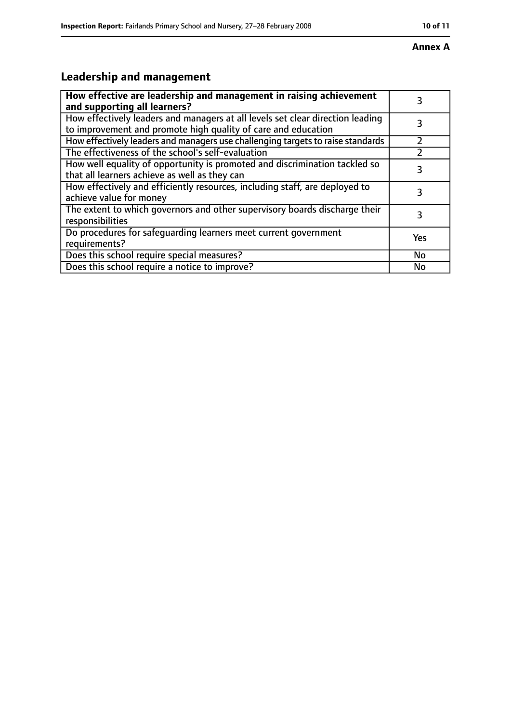#### **Annex A**

# **Leadership and management**

| How effective are leadership and management in raising achievement<br>and supporting all learners?                                              | 3         |
|-------------------------------------------------------------------------------------------------------------------------------------------------|-----------|
| How effectively leaders and managers at all levels set clear direction leading<br>to improvement and promote high quality of care and education |           |
| How effectively leaders and managers use challenging targets to raise standards                                                                 |           |
| The effectiveness of the school's self-evaluation                                                                                               |           |
| How well equality of opportunity is promoted and discrimination tackled so<br>that all learners achieve as well as they can                     | 3         |
| How effectively and efficiently resources, including staff, are deployed to<br>achieve value for money                                          | 3         |
| The extent to which governors and other supervisory boards discharge their<br>responsibilities                                                  | 3         |
| Do procedures for safequarding learners meet current government<br>requirements?                                                                | Yes       |
| Does this school require special measures?                                                                                                      | <b>No</b> |
| Does this school require a notice to improve?                                                                                                   | No        |